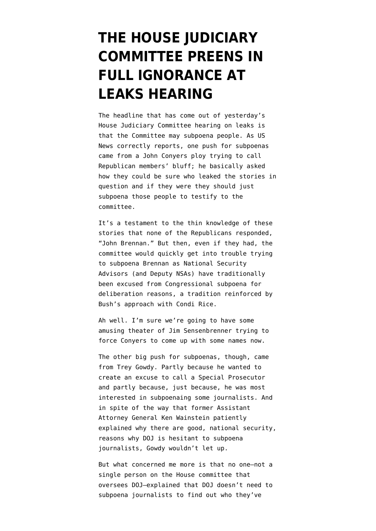## **[THE HOUSE JUDICIARY](https://www.emptywheel.net/2012/07/12/the-house-judiciary-committee-preens-in-full-ignorance-at-leaks-hearing/) [COMMITTEE PREENS IN](https://www.emptywheel.net/2012/07/12/the-house-judiciary-committee-preens-in-full-ignorance-at-leaks-hearing/) [FULL IGNORANCE AT](https://www.emptywheel.net/2012/07/12/the-house-judiciary-committee-preens-in-full-ignorance-at-leaks-hearing/) [LEAKS HEARING](https://www.emptywheel.net/2012/07/12/the-house-judiciary-committee-preens-in-full-ignorance-at-leaks-hearing/)**

The headline that has come out of yesterday's House Judiciary Committee hearing on leaks is that the Committee may subpoena people. As US News [correctly reports](http://www.usnews.com/news/blogs/dotmil/2012/07/11/lawmakers-may-start-issuing-subpoenas-over-national-security-leaks), one push for subpoenas came from a John Conyers ploy trying to call Republican members' bluff; he basically asked how they could be sure who leaked the stories in question and if they were they should just subpoena those people to testify to the committee.

It's a testament to the thin knowledge of these stories that none of the Republicans responded, "John Brennan." But then, even if they had, the committee would quickly get into trouble trying to subpoena Brennan as National Security Advisors (and Deputy NSAs) have traditionally been excused from Congressional subpoena for deliberation reasons, a tradition reinforced by Bush's approach with Condi Rice.

Ah well. I'm sure we're going to have some amusing theater of Jim Sensenbrenner trying to force Conyers to come up with some names now.

The other big push for subpoenas, though, came from Trey Gowdy. Partly because he wanted to create an excuse to call a Special Prosecutor and partly because, just because, he was most interested in subpoenaing some journalists. And in spite of the way that former Assistant Attorney General Ken Wainstein patiently explained why there are good, national security, reasons why DOJ is hesitant to subpoena journalists, Gowdy wouldn't let up.

But what concerned me more is that no one–not a single person on the House committee that oversees DOJ–explained that [DOJ doesn't need to](http://www.emptywheel.net/2012/01/24/did-the-government-know-who-journalists-are-talking-to-in-the-kiriakou-investigation/) [subpoena journalists](http://www.emptywheel.net/2012/01/24/did-the-government-know-who-journalists-are-talking-to-in-the-kiriakou-investigation/) to find out who they've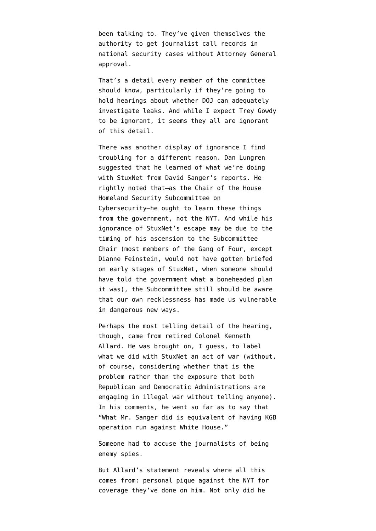been talking to. They've given themselves the authority to get journalist call records in national security cases without Attorney General approval.

That's a detail every member of the committee should know, particularly if they're going to hold hearings about whether DOJ can adequately investigate leaks. And while I expect Trey Gowdy to be ignorant, it seems they all are ignorant of this detail.

There was another display of ignorance I find troubling for a different reason. Dan Lungren suggested that he learned of what we're doing with StuxNet from David Sanger's reports. He rightly noted that–as the Chair of the House Homeland Security Subcommittee on Cybersecurity–he ought to learn these things from the government, not the NYT. And while his ignorance of StuxNet's escape may be due to the timing of his ascension to the Subcommittee Chair (most members of the Gang of Four, except Dianne Feinstein, would not have gotten briefed on early stages of StuxNet, when someone should have told the government what a boneheaded plan it was), the Subcommittee still should be aware that our own recklessness has made us vulnerable in dangerous new ways.

Perhaps the most telling detail of the hearing, though, came from retired Colonel Kenneth Allard. He was brought on, I guess, to [label](http://judiciary.house.gov/hearings/Hearings%202012/Allard%2007102012.pdf) what we did with StuxNet an act of war (without, of course, considering whether that is the problem rather than the exposure that both Republican and Democratic Administrations are engaging in illegal war without telling anyone). In his comments, he went so far as to say that "What Mr. Sanger did is equivalent of having KGB operation run against White House."

Someone had to accuse the journalists of being enemy spies.

But Allard's [statement](http://judiciary.house.gov/hearings/Hearings%202012/Allard%2007102012.pdf) reveals where all this comes from: personal pique against the NYT for coverage they've done on him. Not only did he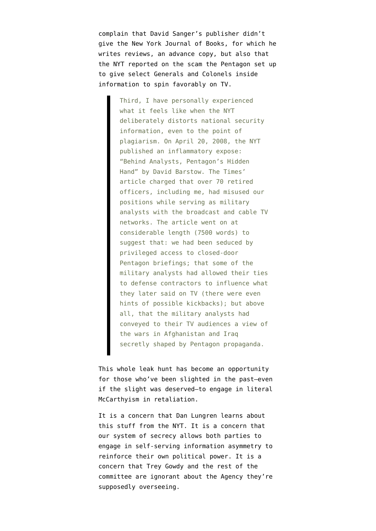complain that David Sanger's publisher didn't give the New York Journal of Books, for which he writes reviews, an advance copy, but also that the NYT reported on the scam the Pentagon set up to give select Generals and Colonels inside information to spin favorably on TV.

> Third, I have personally experienced what it feels like when the NYT deliberately distorts national security information, even to the point of plagiarism. On April 20, 2008, the NYT published an inflammatory expose: "Behind Analysts, Pentagon's Hidden Hand" by David Barstow. The Times' article charged that over 70 retired officers, including me, had misused our positions while serving as military analysts with the broadcast and cable TV networks. The article went on at considerable length (7500 words) to suggest that: we had been seduced by privileged access to closed-door Pentagon briefings; that some of the military analysts had allowed their ties to defense contractors to influence what they later said on TV (there were even hints of possible kickbacks); but above all, that the military analysts had conveyed to their TV audiences a view of the wars in Afghanistan and Iraq secretly shaped by Pentagon propaganda.

This whole leak hunt has become an opportunity for those who've been slighted in the past–even if the slight was deserved–to engage in literal McCarthyism in retaliation.

It is a concern that Dan Lungren learns about this stuff from the NYT. It is a concern that our system of secrecy allows both parties to engage in self-serving information asymmetry to reinforce their own political power. It is a concern that Trey Gowdy and the rest of the committee are ignorant about the Agency they're supposedly overseeing.